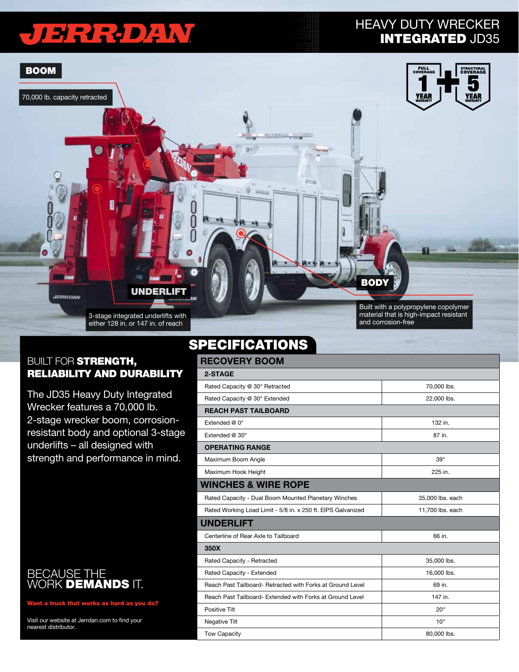# JERREDAW

### HEAVY DUTY WRECKER INTEGRATED JD35



#### **BUILT FOR STRENGTH,** RELIABILITY AND DURABILITY

The JD35 Heavy Duty Integrated Wrecker features a 70,000 lb. 2-stage wrecker boom, corrosionresistant body and optional 3-stage underlifts – all designed with strength and performance in mind.

#### BECAUSE THE WORK **DEMANDS** IT.

Want a truck that works as hard as you do?

Visit our website at Jerrdan.com to find your nearest distributor.

### **SPECIFICATIONS**

| <b>RECOVERY BOOM</b>        |  |  |  |  |
|-----------------------------|--|--|--|--|
|                             |  |  |  |  |
| 70,000 lbs.                 |  |  |  |  |
| 22,000 lbs.                 |  |  |  |  |
| <b>REACH PAST TAILBOARD</b> |  |  |  |  |
| 132 in.                     |  |  |  |  |
| 87 in.                      |  |  |  |  |
| <b>OPERATING RANGE</b>      |  |  |  |  |
| $39^\circ$                  |  |  |  |  |
| 225 in.                     |  |  |  |  |
|                             |  |  |  |  |
| 35,000 lbs. each            |  |  |  |  |
| 11,700 lbs. each            |  |  |  |  |
| <b>UNDERLIFT</b>            |  |  |  |  |
| 66 in.                      |  |  |  |  |
|                             |  |  |  |  |
| 35,000 lbs.                 |  |  |  |  |
| 16,000 lbs.                 |  |  |  |  |
| 69 in.                      |  |  |  |  |
| 147 in.                     |  |  |  |  |
| $20^{\circ}$                |  |  |  |  |
| $10^{\circ}$                |  |  |  |  |
| 80,000 lbs.                 |  |  |  |  |
|                             |  |  |  |  |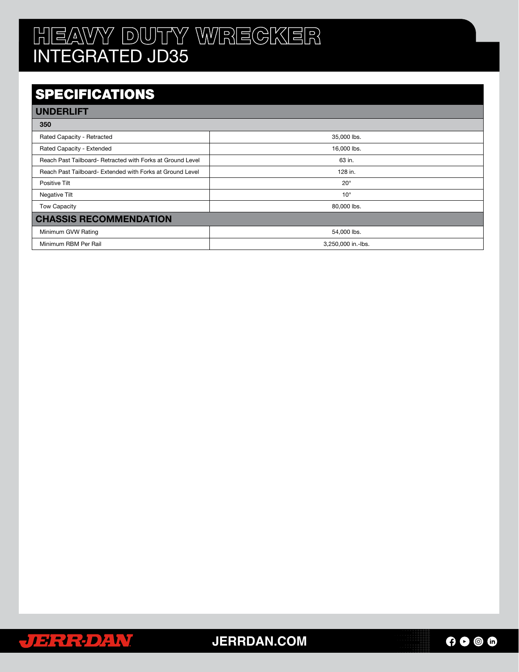# HEAVY DUTY WRECKER INTEGRATED JD35

### **SPECIFICATIONS**

| <b>UNDERLIFT</b>                                           |                    |  |  |
|------------------------------------------------------------|--------------------|--|--|
| 350                                                        |                    |  |  |
| Rated Capacity - Retracted                                 | 35,000 lbs.        |  |  |
| Rated Capacity - Extended                                  | 16,000 lbs.        |  |  |
| Reach Past Tailboard- Retracted with Forks at Ground Level | 63 in.             |  |  |
| Reach Past Tailboard- Extended with Forks at Ground Level  | 128 in.            |  |  |
| Positive Tilt                                              | $20^{\circ}$       |  |  |
| Negative Tilt                                              | $10^{\circ}$       |  |  |
| <b>Tow Capacity</b>                                        | 80,000 lbs.        |  |  |
| <b>CHASSIS RECOMMENDATION</b>                              |                    |  |  |
| Minimum GVW Rating                                         | 54,000 lbs.        |  |  |
| Minimum RBM Per Rail                                       | 3,250,000 in.-lbs. |  |  |



**JERRDAN.COM**